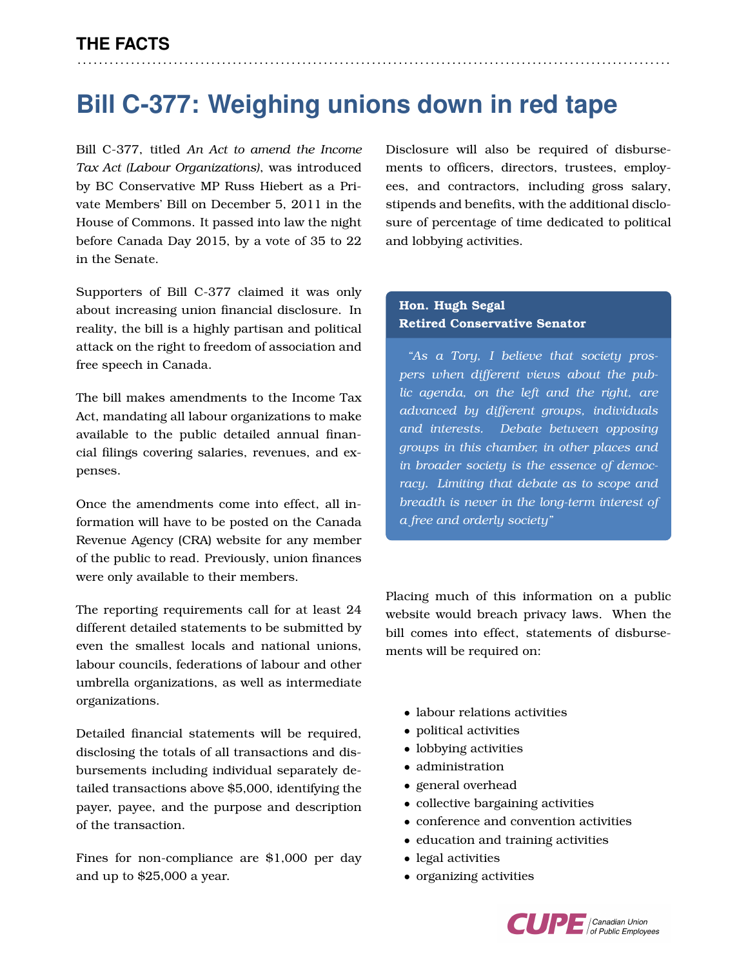## **Bill C-377: Weighing unions down in red tape**

. . . . . . . . . . . . . . . . . . . . . . . . . . . . . . . . . . . . . . . . . . . . . . . . . . . . . . . . . . . . . . . . . . . . . . . . . . . . . . . . . . . . . . . . . . . . . . . . . . . . . . . . . . . . . . .

Bill C-377, titled *An Act to amend the Income Tax Act (Labour Organizations)*, was introduced by BC Conservative MP Russ Hiebert as a Private Members' Bill on December 5, 2011 in the House of Commons. It passed into law the night before Canada Day 2015, by a vote of 35 to 22 in the Senate.

Supporters of Bill C-377 claimed it was only about increasing union financial disclosure. In reality, the bill is a highly partisan and political attack on the right to freedom of association and free speech in Canada.

The bill makes amendments to the Income Tax Act, mandating all labour organizations to make available to the public detailed annual financial filings covering salaries, revenues, and expenses.

Once the amendments come into effect, all information will have to be posted on the Canada Revenue Agency (CRA) website for any member of the public to read. Previously, union finances were only available to their members.

The reporting requirements call for at least 24 different detailed statements to be submitted by even the smallest locals and national unions, labour councils, federations of labour and other umbrella organizations, as well as intermediate organizations.

Detailed financial statements will be required, disclosing the totals of all transactions and disbursements including individual separately detailed transactions above \$5,000, identifying the payer, payee, and the purpose and description of the transaction.

Fines for non-compliance are \$1,000 per day and up to \$25,000 a year.

Disclosure will also be required of disbursements to officers, directors, trustees, employees, and contractors, including gross salary, stipends and benefits, with the additional disclosure of percentage of time dedicated to political and lobbying activities.

## **Hon. Hugh Segal Retired Conservative Senator**

*"As a Tory, I believe that society prospers when different views about the public agenda, on the left and the right, are advanced by different groups, individuals and interests. Debate between opposing groups in this chamber, in other places and in broader society is the essence of democracy. Limiting that debate as to scope and breadth is never in the long-term interest of a free and orderly society"*

Placing much of this information on a public website would breach privacy laws. When the bill comes into effect, statements of disbursements will be required on:

- labour relations activities
- political activities
- lobbying activities
- administration
- general overhead
- collective bargaining activities
- conference and convention activities
- education and training activities
- legal activities
- organizing activities